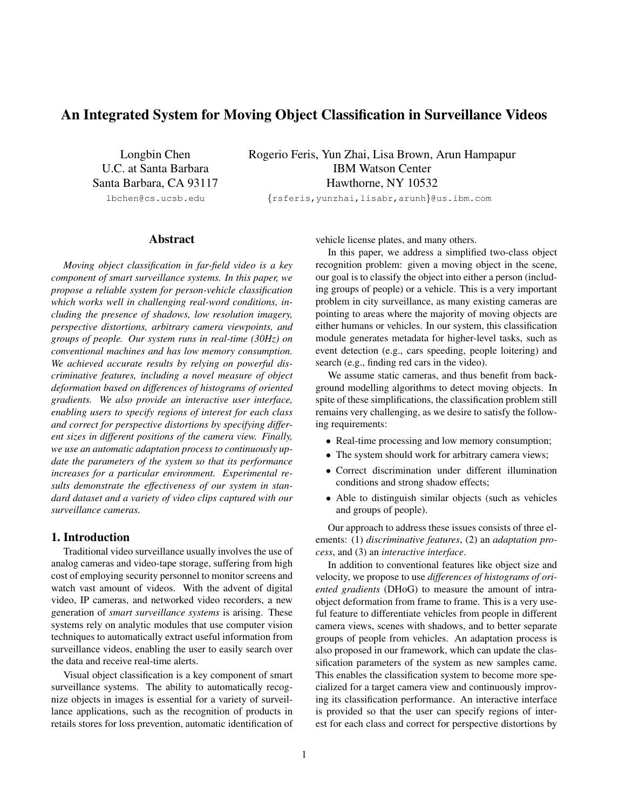# An Integrated System for Moving Object Classification in Surveillance Videos

Longbin Chen U.C. at Santa Barbara Santa Barbara, CA 93117 lbchen@cs.ucsb.edu

Rogerio Feris, Yun Zhai, Lisa Brown, Arun Hampapur IBM Watson Center Hawthorne, NY 10532

{rsferis,yunzhai,lisabr,arunh}@us.ibm.com

## Abstract

*Moving object classification in far-field video is a key component of smart surveillance systems. In this paper, we propose a reliable system for person-vehicle classification which works well in challenging real-word conditions, including the presence of shadows, low resolution imagery, perspective distortions, arbitrary camera viewpoints, and groups of people. Our system runs in real-time (30Hz) on conventional machines and has low memory consumption. We achieved accurate results by relying on powerful discriminative features, including a novel measure of object deformation based on differences of histograms of oriented gradients. We also provide an interactive user interface, enabling users to specify regions of interest for each class and correct for perspective distortions by specifying different sizes in different positions of the camera view. Finally, we use an automatic adaptation process to continuously update the parameters of the system so that its performance increases for a particular environment. Experimental results demonstrate the effectiveness of our system in standard dataset and a variety of video clips captured with our surveillance cameras.*

## 1. Introduction

Traditional video surveillance usually involves the use of analog cameras and video-tape storage, suffering from high cost of employing security personnel to monitor screens and watch vast amount of videos. With the advent of digital video, IP cameras, and networked video recorders, a new generation of *smart surveillance systems* is arising. These systems rely on analytic modules that use computer vision techniques to automatically extract useful information from surveillance videos, enabling the user to easily search over the data and receive real-time alerts.

Visual object classification is a key component of smart surveillance systems. The ability to automatically recognize objects in images is essential for a variety of surveillance applications, such as the recognition of products in retails stores for loss prevention, automatic identification of vehicle license plates, and many others.

In this paper, we address a simplified two-class object recognition problem: given a moving object in the scene, our goal is to classify the object into either a person (including groups of people) or a vehicle. This is a very important problem in city surveillance, as many existing cameras are pointing to areas where the majority of moving objects are either humans or vehicles. In our system, this classification module generates metadata for higher-level tasks, such as event detection (e.g., cars speeding, people loitering) and search (e.g., finding red cars in the video).

We assume static cameras, and thus benefit from background modelling algorithms to detect moving objects. In spite of these simplifications, the classification problem still remains very challenging, as we desire to satisfy the following requirements:

- Real-time processing and low memory consumption;
- The system should work for arbitrary camera views;
- Correct discrimination under different illumination conditions and strong shadow effects;
- Able to distinguish similar objects (such as vehicles and groups of people).

Our approach to address these issues consists of three elements: (1) *discriminative features*, (2) an *adaptation process*, and (3) an *interactive interface*.

In addition to conventional features like object size and velocity, we propose to use *differences of histograms of oriented gradients* (DHoG) to measure the amount of intraobject deformation from frame to frame. This is a very useful feature to differentiate vehicles from people in different camera views, scenes with shadows, and to better separate groups of people from vehicles. An adaptation process is also proposed in our framework, which can update the classification parameters of the system as new samples came. This enables the classification system to become more specialized for a target camera view and continuously improving its classification performance. An interactive interface is provided so that the user can specify regions of interest for each class and correct for perspective distortions by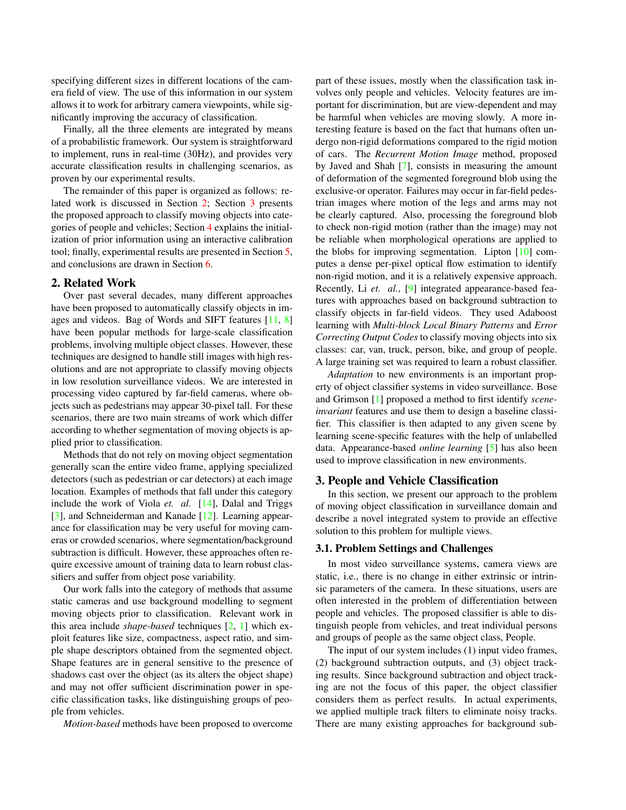specifying different sizes in different locations of the camera field of view. The use of this information in our system allows it to work for arbitrary camera viewpoints, while significantly improving the accuracy of classification.

Finally, all the three elements are integrated by means of a probabilistic framework. Our system is straightforward to implement, runs in real-time (30Hz), and provides very accurate classification results in challenging scenarios, as proven by our experimental results.

The remainder of this paper is organized as follows: related work is discussed in Section 2; Section 3 presents the proposed approach to classify moving objects into categories of people and vehicles; Section 4 explains the initialization of prior information using an interactive calibration tool; finally, experimental results are presented in Section 5, and conclusions are drawn in Section 6.

#### 2. Related Work

Over past several decades, many different approaches have been proposed to automatically classify objects in images and videos. Bag of Words and SIFT features [11, 8] have been popular methods for large-scale classification problems, involving multiple object classes. However, these techniques are designed to handle still images with high resolutions and are not appropriate to classify moving objects in low resolution surveillance videos. We are interested in processing video captured by far-field cameras, where objects such as pedestrians may appear 30-pixel tall. For these scenarios, there are two main streams of work which differ according to whether segmentation of moving objects is applied prior to classification.

Methods that do not rely on moving object segmentation generally scan the entire video frame, applying specialized detectors (such as pedestrian or car detectors) at each image location. Examples of methods that fall under this category include the work of Viola *et. al.* [14], Dalal and Triggs [3], and Schneiderman and Kanade [12]. Learning appearance for classification may be very useful for moving cameras or crowded scenarios, where segmentation/background subtraction is difficult. However, these approaches often require excessive amount of training data to learn robust classifiers and suffer from object pose variability.

Our work falls into the category of methods that assume static cameras and use background modelling to segment moving objects prior to classification. Relevant work in this area include *shape-based* techniques [2, 1] which exploit features like size, compactness, aspect ratio, and simple shape descriptors obtained from the segmented object. Shape features are in general sensitive to the presence of shadows cast over the object (as its alters the object shape) and may not offer sufficient discrimination power in specific classification tasks, like distinguishing groups of people from vehicles.

*Motion-based* methods have been proposed to overcome

part of these issues, mostly when the classification task involves only people and vehicles. Velocity features are important for discrimination, but are view-dependent and may be harmful when vehicles are moving slowly. A more interesting feature is based on the fact that humans often undergo non-rigid deformations compared to the rigid motion of cars. The *Recurrent Motion Image* method, proposed by Javed and Shah [7], consists in measuring the amount of deformation of the segmented foreground blob using the exclusive-or operator. Failures may occur in far-field pedestrian images where motion of the legs and arms may not be clearly captured. Also, processing the foreground blob to check non-rigid motion (rather than the image) may not be reliable when morphological operations are applied to the blobs for improving segmentation. Lipton [10] computes a dense per-pixel optical flow estimation to identify non-rigid motion, and it is a relatively expensive approach. Recently, Li *et. al.*, [9] integrated appearance-based features with approaches based on background subtraction to classify objects in far-field videos. They used Adaboost learning with *Multi-block Local Binary Patterns* and *Error Correcting Output Codes* to classify moving objects into six classes: car, van, truck, person, bike, and group of people. A large training set was required to learn a robust classifier.

*Adaptation* to new environments is an important property of object classifier systems in video surveillance. Bose and Grimson [1] proposed a method to first identify *sceneinvariant* features and use them to design a baseline classifier. This classifier is then adapted to any given scene by learning scene-specific features with the help of unlabelled data. Appearance-based *online learning* [5] has also been used to improve classification in new environments.

### 3. People and Vehicle Classification

In this section, we present our approach to the problem of moving object classification in surveillance domain and describe a novel integrated system to provide an effective solution to this problem for multiple views.

#### 3.1. Problem Settings and Challenges

In most video surveillance systems, camera views are static, i.e., there is no change in either extrinsic or intrinsic parameters of the camera. In these situations, users are often interested in the problem of differentiation between people and vehicles. The proposed classifier is able to distinguish people from vehicles, and treat individual persons and groups of people as the same object class, People.

The input of our system includes (1) input video frames, (2) background subtraction outputs, and (3) object tracking results. Since background subtraction and object tracking are not the focus of this paper, the object classifier considers them as perfect results. In actual experiments, we applied multiple track filters to eliminate noisy tracks. There are many existing approaches for background sub-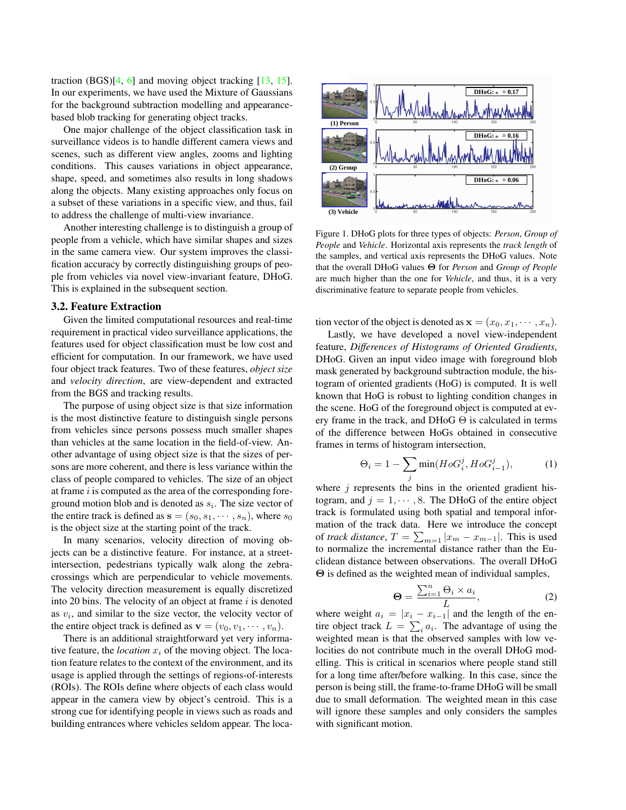traction (BGS)[4, 6] and moving object tracking [13, 15]. In our experiments, we have used the Mixture of Gaussians for the background subtraction modelling and appearancebased blob tracking for generating object tracks.

One major challenge of the object classification task in surveillance videos is to handle different camera views and scenes, such as different view angles, zooms and lighting conditions. This causes variations in object appearance, shape, speed, and sometimes also results in long shadows along the objects. Many existing approaches only focus on a subset of these variations in a specific view, and thus, fail to address the challenge of multi-view invariance.

Another interesting challenge is to distinguish a group of people from a vehicle, which have similar shapes and sizes in the same camera view. Our system improves the classification accuracy by correctly distinguishing groups of people from vehicles via novel view-invariant feature, DHoG. This is explained in the subsequent section.

#### 3.2. Feature Extraction

Given the limited computational resources and real-time requirement in practical video surveillance applications, the features used for object classification must be low cost and efficient for computation. In our framework, we have used four object track features. Two of these features, *object size* and *velocity direction*, are view-dependent and extracted from the BGS and tracking results.

The purpose of using object size is that size information is the most distinctive feature to distinguish single persons from vehicles since persons possess much smaller shapes than vehicles at the same location in the field-of-view. Another advantage of using object size is that the sizes of persons are more coherent, and there is less variance within the class of people compared to vehicles. The size of an object at frame  $i$  is computed as the area of the corresponding foreground motion blob and is denoted as  $s_i$ . The size vector of the entire track is defined as  $\mathbf{s} = (s_0, s_1, \dots, s_n)$ , where  $s_0$ is the object size at the starting point of the track.

In many scenarios, velocity direction of moving objects can be a distinctive feature. For instance, at a streetintersection, pedestrians typically walk along the zebracrossings which are perpendicular to vehicle movements. The velocity direction measurement is equally discretized into 20 bins. The velocity of an object at frame  $i$  is denoted as  $v_i$ , and similar to the size vector, the velocity vector of the entire object track is defined as  $\mathbf{v} = (v_0, v_1, \dots, v_n)$ .

There is an additional straightforward yet very informative feature, the *location*  $x_i$  of the moving object. The location feature relates to the context of the environment, and its usage is applied through the settings of regions-of-interests (ROIs). The ROIs define where objects of each class would appear in the camera view by object's centroid. This is a strong cue for identifying people in views such as roads and building entrances where vehicles seldom appear. The loca-



Figure 1. DHoG plots for three types of objects: *Person*, *Group of People* and *Vehicle*. Horizontal axis represents the *track length* of the samples, and vertical axis represents the DHoG values. Note that the overall DHoG values Θ for *Person* and *Group of People* are much higher than the one for *Vehicle*, and thus, it is a very discriminative feature to separate people from vehicles.

tion vector of the object is denoted as  $\mathbf{x} = (x_0, x_1, \dots, x_n)$ .

Lastly, we have developed a novel view-independent feature, *Differences of Histograms of Oriented Gradients*, DHoG. Given an input video image with foreground blob mask generated by background subtraction module, the histogram of oriented gradients (HoG) is computed. It is well known that HoG is robust to lighting condition changes in the scene. HoG of the foreground object is computed at every frame in the track, and DHoG  $\Theta$  is calculated in terms of the difference between HoGs obtained in consecutive frames in terms of histogram intersection,

$$
\Theta_i = 1 - \sum_j \min(H \circ G_i^j, H \circ G_{i-1}^j),\tag{1}
$$

where  $j$  represents the bins in the oriented gradient histogram, and  $j = 1, \dots, 8$ . The DHoG of the entire object track is formulated using both spatial and temporal information of the track data. Here we introduce the concept of *track distance*,  $T = \sum_{m=1}^{\infty} |x_m - x_{m-1}|$ . This is used to normalize the incremental distance rather than the Euclidean distance between observations. The overall DHoG Θ is defined as the weighted mean of individual samples,

$$
\Theta = \frac{\sum_{i=1}^{n} \Theta_i \times a_i}{L},\tag{2}
$$

where weight  $a_i = |x_i - x_{i-1}|$  and the length of the entire object track  $L = \sum_i a_i$ . The advantage of using the weighted mean is that the observed samples with low velocities do not contribute much in the overall DHoG modelling. This is critical in scenarios where people stand still for a long time after/before walking. In this case, since the person is being still, the frame-to-frame DHoG will be small due to small deformation. The weighted mean in this case will ignore these samples and only considers the samples with significant motion.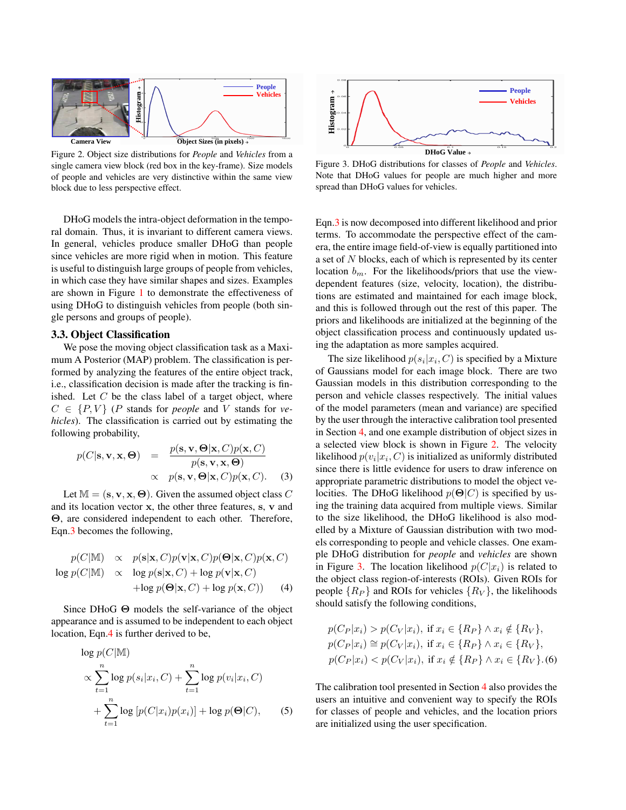

Figure 2. Object size distributions for *People* and *Vehicles* from a single camera view block (red box in the key-frame). Size models of people and vehicles are very distinctive within the same view block due to less perspective effect.

DHoG models the intra-object deformation in the temporal domain. Thus, it is invariant to different camera views. In general, vehicles produce smaller DHoG than people since vehicles are more rigid when in motion. This feature is useful to distinguish large groups of people from vehicles, in which case they have similar shapes and sizes. Examples are shown in Figure 1 to demonstrate the effectiveness of using DHoG to distinguish vehicles from people (both single persons and groups of people).

#### 3.3. Object Classification

We pose the moving object classification task as a Maximum A Posterior (MAP) problem. The classification is performed by analyzing the features of the entire object track, i.e., classification decision is made after the tracking is finished. Let  $C$  be the class label of a target object, where  $C \in \{P, V\}$  (P stands for *people* and V stands for *vehicles*). The classification is carried out by estimating the following probability,

$$
p(C|\mathbf{s}, \mathbf{v}, \mathbf{x}, \Theta) = \frac{p(\mathbf{s}, \mathbf{v}, \Theta | \mathbf{x}, C) p(\mathbf{x}, C)}{p(\mathbf{s}, \mathbf{v}, \mathbf{x}, \Theta)}
$$
  
 
$$
\propto p(\mathbf{s}, \mathbf{v}, \Theta | \mathbf{x}, C) p(\mathbf{x}, C). \quad (3)
$$

Let  $M = (\mathbf{s}, \mathbf{v}, \mathbf{x}, \Theta)$ . Given the assumed object class C and its location vector x, the other three features, s, v and Θ, are considered independent to each other. Therefore, Eqn.3 becomes the following,

$$
p(C|\mathbb{M}) \propto p(\mathbf{s}|\mathbf{x}, C)p(\mathbf{v}|\mathbf{x}, C)p(\mathbf{\Theta}|\mathbf{x}, C)p(\mathbf{x}, C)
$$
  
log  $p(C|\mathbb{M}) \propto \log p(\mathbf{s}|\mathbf{x}, C) + \log p(\mathbf{v}|\mathbf{x}, C)$   
+log  $p(\mathbf{\Theta}|\mathbf{x}, C) + \log p(\mathbf{x}, C)$ ) (4)

Since DHoG Θ models the self-variance of the object appearance and is assumed to be independent to each object location, Eqn.4 is further derived to be,

$$
\log p(C|\mathbb{M})
$$
  
\n
$$
\propto \sum_{t=1}^{n} \log p(s_i|x_i, C) + \sum_{t=1}^{n} \log p(v_i|x_i, C)
$$
  
\n
$$
+ \sum_{t=1}^{n} \log [p(C|x_i)p(x_i)] + \log p(\Theta|C), \qquad (5)
$$



Figure 3. DHoG distributions for classes of *People* and *Vehicles*. Note that DHoG values for people are much higher and more spread than DHoG values for vehicles.

Eqn.3 is now decomposed into different likelihood and prior terms. To accommodate the perspective effect of the camera, the entire image field-of-view is equally partitioned into a set of  $N$  blocks, each of which is represented by its center location  $b_m$ . For the likelihoods/priors that use the viewdependent features (size, velocity, location), the distributions are estimated and maintained for each image block, and this is followed through out the rest of this paper. The priors and likelihoods are initialized at the beginning of the object classification process and continuously updated using the adaptation as more samples acquired.

The size likelihood  $p(s_i|x_i, C)$  is specified by a Mixture of Gaussians model for each image block. There are two Gaussian models in this distribution corresponding to the person and vehicle classes respectively. The initial values of the model parameters (mean and variance) are specified by the user through the interactive calibration tool presented in Section 4, and one example distribution of object sizes in a selected view block is shown in Figure 2. The velocity likelihood  $p(v_i | x_i, C)$  is initialized as uniformly distributed since there is little evidence for users to draw inference on appropriate parametric distributions to model the object velocities. The DHoG likelihood  $p(\Theta|C)$  is specified by using the training data acquired from multiple views. Similar to the size likelihood, the DHoG likelihood is also modelled by a Mixture of Gaussian distribution with two models corresponding to people and vehicle classes. One example DHoG distribution for *people* and *vehicles* are shown in Figure 3. The location likelihood  $p(C|x_i)$  is related to the object class region-of-interests (ROIs). Given ROIs for people  $\{R_P\}$  and ROIs for vehicles  $\{R_V\}$ , the likelihoods should satisfy the following conditions,

$$
p(C_P|x_i) > p(C_V|x_i), \text{ if } x_i \in \{R_P\} \land x_i \notin \{R_V\},
$$
\n
$$
p(C_P|x_i) \cong p(C_V|x_i), \text{ if } x_i \in \{R_P\} \land x_i \in \{R_V\},
$$
\n
$$
p(C_P|x_i) < p(C_V|x_i), \text{ if } x_i \notin \{R_P\} \land x_i \in \{R_V\}.\tag{6}
$$

The calibration tool presented in Section 4 also provides the users an intuitive and convenient way to specify the ROIs for classes of people and vehicles, and the location priors are initialized using the user specification.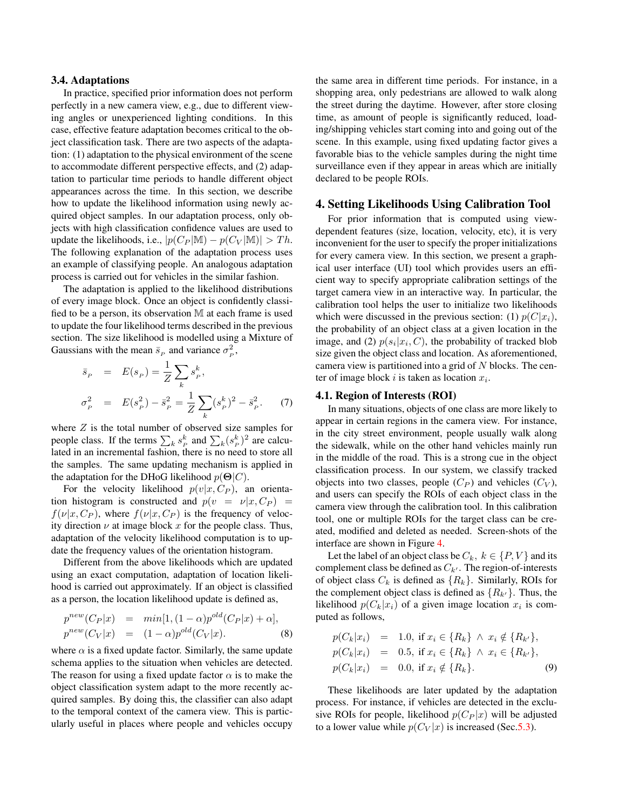#### 3.4. Adaptations

In practice, specified prior information does not perform perfectly in a new camera view, e.g., due to different viewing angles or unexperienced lighting conditions. In this case, effective feature adaptation becomes critical to the object classification task. There are two aspects of the adaptation: (1) adaptation to the physical environment of the scene to accommodate different perspective effects, and (2) adaptation to particular time periods to handle different object appearances across the time. In this section, we describe how to update the likelihood information using newly acquired object samples. In our adaptation process, only objects with high classification confidence values are used to update the likelihoods, i.e.,  $|p(C_P |M) - p(C_V |M)| > Th$ . The following explanation of the adaptation process uses an example of classifying people. An analogous adaptation process is carried out for vehicles in the similar fashion.

The adaptation is applied to the likelihood distributions of every image block. Once an object is confidently classified to be a person, its observation M at each frame is used to update the four likelihood terms described in the previous section. The size likelihood is modelled using a Mixture of Gaussians with the mean  $\bar{s}_P$  and variance  $\sigma_P^2$ ,

$$
\bar{s}_P = E(s_P) = \frac{1}{Z} \sum_k s_P^k,
$$
  
\n
$$
\sigma_P^2 = E(s_P^2) - \bar{s}_P^2 = \frac{1}{Z} \sum_k (s_P^k)^2 - \bar{s}_P^2.
$$
 (7)

where  $Z$  is the total number of observed size samples for people class. If the terms  $\sum_{k} s_{P}^{k}$  and  $\sum_{k} (s_{P}^{k})^{2}$  are calculated in an incremental fashion, there is no need to store all the samples. The same updating mechanism is applied in the adaptation for the DHoG likelihood  $p(\Theta|C)$ .

For the velocity likelihood  $p(v|x, C_P)$ , an orientation histogram is constructed and  $p(v = v|x, C_P)$  =  $f(\nu|x, C_P)$ , where  $f(\nu|x, C_P)$  is the frequency of velocity direction  $\nu$  at image block x for the people class. Thus, adaptation of the velocity likelihood computation is to update the frequency values of the orientation histogram.

Different from the above likelihoods which are updated using an exact computation, adaptation of location likelihood is carried out approximately. If an object is classified as a person, the location likelihood update is defined as,

$$
p^{new}(C_P|x) = min[1, (1-\alpha)p^{old}(C_P|x) + \alpha],
$$
  
\n
$$
p^{new}(C_V|x) = (1-\alpha)p^{old}(C_V|x).
$$
 (8)

where  $\alpha$  is a fixed update factor. Similarly, the same update schema applies to the situation when vehicles are detected. The reason for using a fixed update factor  $\alpha$  is to make the object classification system adapt to the more recently acquired samples. By doing this, the classifier can also adapt to the temporal context of the camera view. This is particularly useful in places where people and vehicles occupy

the same area in different time periods. For instance, in a shopping area, only pedestrians are allowed to walk along the street during the daytime. However, after store closing time, as amount of people is significantly reduced, loading/shipping vehicles start coming into and going out of the scene. In this example, using fixed updating factor gives a favorable bias to the vehicle samples during the night time surveillance even if they appear in areas which are initially declared to be people ROIs.

## 4. Setting Likelihoods Using Calibration Tool

For prior information that is computed using viewdependent features (size, location, velocity, etc), it is very inconvenient for the user to specify the proper initializations for every camera view. In this section, we present a graphical user interface (UI) tool which provides users an efficient way to specify appropriate calibration settings of the target camera view in an interactive way. In particular, the calibration tool helps the user to initialize two likelihoods which were discussed in the previous section: (1)  $p(C|x_i)$ , the probability of an object class at a given location in the image, and (2)  $p(s_i|x_i, C)$ , the probability of tracked blob size given the object class and location. As aforementioned, camera view is partitioned into a grid of  $N$  blocks. The center of image block  $i$  is taken as location  $x_i$ .

## 4.1. Region of Interests (ROI)

In many situations, objects of one class are more likely to appear in certain regions in the camera view. For instance, in the city street environment, people usually walk along the sidewalk, while on the other hand vehicles mainly run in the middle of the road. This is a strong cue in the object classification process. In our system, we classify tracked objects into two classes, people  $(C_P)$  and vehicles  $(C_V)$ , and users can specify the ROIs of each object class in the camera view through the calibration tool. In this calibration tool, one or multiple ROIs for the target class can be created, modified and deleted as needed. Screen-shots of the interface are shown in Figure 4.

Let the label of an object class be  $C_k$ ,  $k \in \{P, V\}$  and its complement class be defined as  $C_{k'}$ . The region-of-interests of object class  $C_k$  is defined as  $\{R_k\}$ . Similarly, ROIs for the complement object class is defined as  $\{R_{k'}\}$ . Thus, the likelihood  $p(C_k|x_i)$  of a given image location  $x_i$  is computed as follows,

$$
p(C_k|x_i) = 1.0, \text{ if } x_i \in \{R_k\} \land x_i \notin \{R_{k'}\},
$$
  
\n
$$
p(C_k|x_i) = 0.5, \text{ if } x_i \in \{R_k\} \land x_i \in \{R_{k'}\},
$$
  
\n
$$
p(C_k|x_i) = 0.0, \text{ if } x_i \notin \{R_k\}.
$$
 (9)

These likelihoods are later updated by the adaptation process. For instance, if vehicles are detected in the exclusive ROIs for people, likelihood  $p(C_P |x)$  will be adjusted to a lower value while  $p(C_V | x)$  is increased (Sec. 5.3).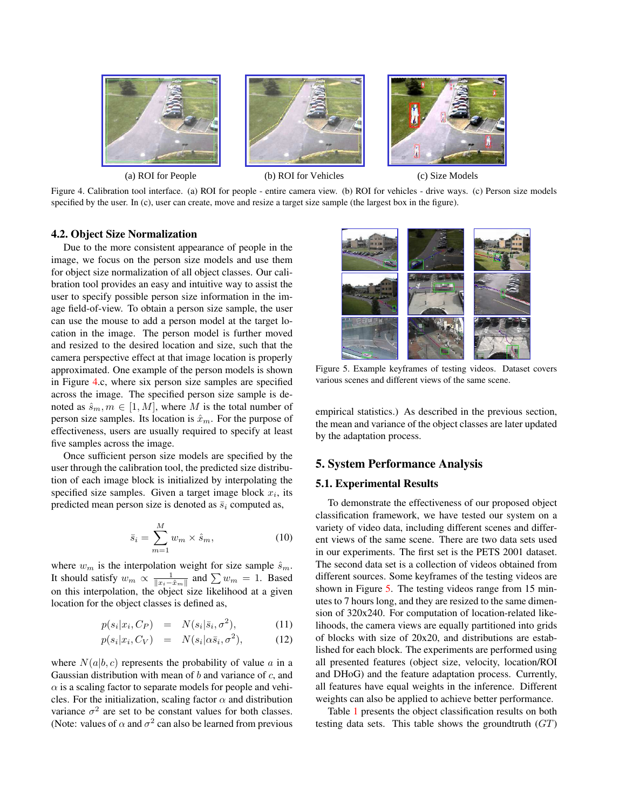

(a) ROI for People (b) ROI for Vehicles (c) Size Models



Figure 4. Calibration tool interface. (a) ROI for people - entire camera view. (b) ROI for vehicles - drive ways. (c) Person size models specified by the user. In (c), user can create, move and resize a target size sample (the largest box in the figure).

## 4.2. Object Size Normalization

Due to the more consistent appearance of people in the image, we focus on the person size models and use them for object size normalization of all object classes. Our calibration tool provides an easy and intuitive way to assist the user to specify possible person size information in the image field-of-view. To obtain a person size sample, the user can use the mouse to add a person model at the target location in the image. The person model is further moved and resized to the desired location and size, such that the camera perspective effect at that image location is properly approximated. One example of the person models is shown in Figure 4.c, where six person size samples are specified across the image. The specified person size sample is denoted as  $\hat{s}_m, m \in [1, M]$ , where M is the total number of person size samples. Its location is  $\hat{x}_m$ . For the purpose of effectiveness, users are usually required to specify at least five samples across the image.

Once sufficient person size models are specified by the user through the calibration tool, the predicted size distribution of each image block is initialized by interpolating the specified size samples. Given a target image block  $x_i$ , its predicted mean person size is denoted as  $\bar{s}_i$  computed as,

$$
\bar{s}_i = \sum_{m=1}^{M} w_m \times \hat{s}_m, \qquad (10)
$$

where  $w_m$  is the interpolation weight for size sample  $\hat{s}_m$ . It should satisfy  $w_m \propto \frac{1}{\|x_i - \hat{x}_m\|}$  and  $\sum w_m = 1$ . Based on this interpolation, the object size likelihood at a given location for the object classes is defined as,

$$
p(s_i|x_i, C_P) = N(s_i|\bar{s}_i, \sigma^2), \qquad (11)
$$

$$
p(s_i|x_i, C_V) = N(s_i|\alpha \bar{s}_i, \sigma^2), \quad (12)
$$

where  $N(a|b, c)$  represents the probability of value a in a Gaussian distribution with mean of  $b$  and variance of  $c$ , and  $\alpha$  is a scaling factor to separate models for people and vehicles. For the initialization, scaling factor  $\alpha$  and distribution variance  $\sigma^2$  are set to be constant values for both classes. (Note: values of  $\alpha$  and  $\sigma^2$  can also be learned from previous



Figure 5. Example keyframes of testing videos. Dataset covers various scenes and different views of the same scene.

empirical statistics.) As described in the previous section, the mean and variance of the object classes are later updated by the adaptation process.

## 5. System Performance Analysis

## 5.1. Experimental Results

To demonstrate the effectiveness of our proposed object classification framework, we have tested our system on a variety of video data, including different scenes and different views of the same scene. There are two data sets used in our experiments. The first set is the PETS 2001 dataset. The second data set is a collection of videos obtained from different sources. Some keyframes of the testing videos are shown in Figure 5. The testing videos range from 15 minutes to 7 hours long, and they are resized to the same dimension of 320x240. For computation of location-related likelihoods, the camera views are equally partitioned into grids of blocks with size of 20x20, and distributions are established for each block. The experiments are performed using all presented features (object size, velocity, location/ROI and DHoG) and the feature adaptation process. Currently, all features have equal weights in the inference. Different weights can also be applied to achieve better performance.

Table 1 presents the object classification results on both testing data sets. This table shows the groundtruth  $(TT)$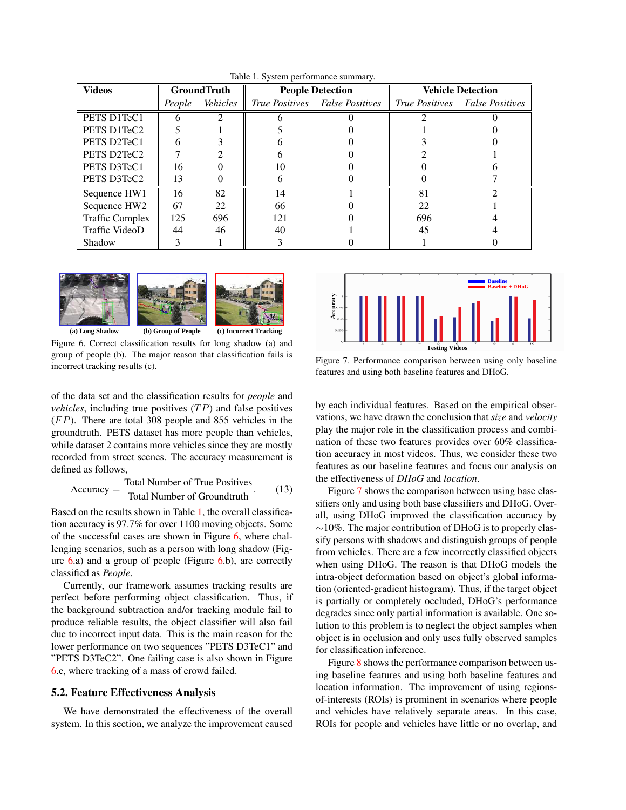| <b>Videos</b>          | <b>GroundTruth</b> |          | <b>People Detection</b> |                        | <b>Vehicle Detection</b> |                        |
|------------------------|--------------------|----------|-------------------------|------------------------|--------------------------|------------------------|
|                        | People             | Vehicles | <i>True Positives</i>   | <b>False Positives</b> | <i>True Positives</i>    | <b>False Positives</b> |
| PETS D1TeC1            | 6                  |          |                         |                        |                          |                        |
| PETS D1TeC2            |                    |          |                         |                        |                          |                        |
| PETS D2TeC1            | h                  |          |                         |                        |                          |                        |
| PETS D2TeC2            |                    |          |                         |                        |                          |                        |
| PETS D3TeC1            | 16                 |          | 10                      |                        |                          |                        |
| PETS D3TeC2            | 13                 |          | h                       |                        |                          |                        |
| Sequence HW1           | 16                 | 82       | 14                      |                        | 81                       | ↑                      |
| Sequence HW2           | 67                 | 22       | 66                      |                        | 22                       |                        |
| <b>Traffic Complex</b> | 125                | 696      | 121                     |                        | 696                      |                        |
| Traffic VideoD         | 44                 | 46       | 40                      |                        | 45                       |                        |
| Shadow                 |                    |          |                         |                        |                          |                        |

Table 1. System performance summary.





**(a) Long Shadow (b) Group of People (c) Incorrect Tracking**

Figure 6. Correct classification results for long shadow (a) and group of people (b). The major reason that classification fails is incorrect tracking results (c).

of the data set and the classification results for *people* and *vehicles*, including true positives  $(TP)$  and false positives  $(FP)$ . There are total 308 people and 855 vehicles in the groundtruth. PETS dataset has more people than vehicles, while dataset 2 contains more vehicles since they are mostly recorded from street scenes. The accuracy measurement is defined as follows,

$$
Accuracy = \frac{Total Number of True Positives}{Total Number of Ground truth}.
$$
 (13)

Based on the results shown in Table 1, the overall classification accuracy is 97.7% for over 1100 moving objects. Some of the successful cases are shown in Figure 6, where challenging scenarios, such as a person with long shadow (Figure  $(6. a)$  and a group of people (Figure  $(6. b)$ ), are correctly classified as *People*.

Currently, our framework assumes tracking results are perfect before performing object classification. Thus, if the background subtraction and/or tracking module fail to produce reliable results, the object classifier will also fail due to incorrect input data. This is the main reason for the lower performance on two sequences "PETS D3TeC1" and "PETS D3TeC2". One failing case is also shown in Figure 6.c, where tracking of a mass of crowd failed.

#### 5.2. Feature Effectiveness Analysis

We have demonstrated the effectiveness of the overall system. In this section, we analyze the improvement caused



Figure 7. Performance comparison between using only baseline features and using both baseline features and DHoG.

by each individual features. Based on the empirical observations, we have drawn the conclusion that *size* and *velocity* play the major role in the classification process and combination of these two features provides over 60% classification accuracy in most videos. Thus, we consider these two features as our baseline features and focus our analysis on the effectiveness of *DHoG* and *location*.

Figure 7 shows the comparison between using base classifiers only and using both base classifiers and DHoG. Overall, using DHoG improved the classification accuracy by ∼10%. The major contribution of DHoG is to properly classify persons with shadows and distinguish groups of people from vehicles. There are a few incorrectly classified objects when using DHoG. The reason is that DHoG models the intra-object deformation based on object's global information (oriented-gradient histogram). Thus, if the target object is partially or completely occluded, DHoG's performance degrades since only partial information is available. One solution to this problem is to neglect the object samples when object is in occlusion and only uses fully observed samples for classification inference.

Figure 8 shows the performance comparison between using baseline features and using both baseline features and location information. The improvement of using regionsof-interests (ROIs) is prominent in scenarios where people and vehicles have relatively separate areas. In this case, ROIs for people and vehicles have little or no overlap, and